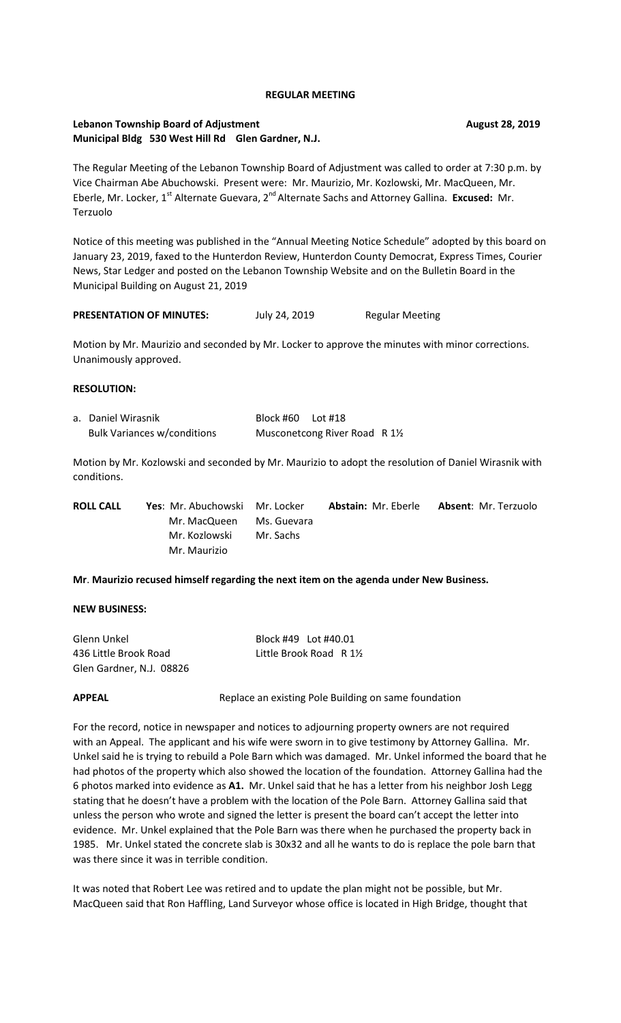### **REGULAR MEETING**

## Lebanon Township Board of Adjustment **August 28, 2019** August 28, 2019 **Municipal Bldg 530 West Hill Rd Glen Gardner, N.J.**

The Regular Meeting of the Lebanon Township Board of Adjustment was called to order at 7:30 p.m. by Vice Chairman Abe Abuchowski. Present were: Mr. Maurizio, Mr. Kozlowski, Mr. MacQueen, Mr. Eberle, Mr. Locker, 1<sup>st</sup> Alternate Guevara, 2<sup>nd</sup> Alternate Sachs and Attorney Gallina. **Excused:** Mr. Terzuolo

Notice of this meeting was published in the "Annual Meeting Notice Schedule" adopted by this board on January 23, 2019, faxed to the Hunterdon Review, Hunterdon County Democrat, Express Times, Courier News, Star Ledger and posted on the Lebanon Township Website and on the Bulletin Board in the Municipal Building on August 21, 2019

PRESENTATION OF MINUTES: July 24, 2019 Regular Meeting

Motion by Mr. Maurizio and seconded by Mr. Locker to approve the minutes with minor corrections. Unanimously approved.

### **RESOLUTION:**

| a. Daniel Wirasnik                 | Block #60 Lot #18 |                                |  |
|------------------------------------|-------------------|--------------------------------|--|
| <b>Bulk Variances w/conditions</b> |                   | Musconetcong River Road R 11/2 |  |

Motion by Mr. Kozlowski and seconded by Mr. Maurizio to adopt the resolution of Daniel Wirasnik with conditions.

| <b>ROLL CALL</b> | <b>Yes:</b> Mr. Abuchowski Mr. Locker |             | <b>Abstain: Mr. Eberle</b> | <b>Absent: Mr. Terzuolo</b> |
|------------------|---------------------------------------|-------------|----------------------------|-----------------------------|
|                  | Mr. MacQueen                          | Ms. Guevara |                            |                             |
|                  | Mr. Kozlowski                         | Mr. Sachs   |                            |                             |
|                  | Mr. Maurizio                          |             |                            |                             |

### **Mr**. **Maurizio recused himself regarding the next item on the agenda under New Business.**

### **NEW BUSINESS:**

| Glenn Unkel              | Block #49 Lot #40.01   |
|--------------------------|------------------------|
| 436 Little Brook Road    | Little Brook Road R 1½ |
| Glen Gardner, N.J. 08826 |                        |

**APPEAL** Replace an existing Pole Building on same foundation

For the record, notice in newspaper and notices to adjourning property owners are not required with an Appeal. The applicant and his wife were sworn in to give testimony by Attorney Gallina. Mr. Unkel said he is trying to rebuild a Pole Barn which was damaged. Mr. Unkel informed the board that he had photos of the property which also showed the location of the foundation. Attorney Gallina had the 6 photos marked into evidence as **A1.** Mr. Unkel said that he has a letter from his neighbor Josh Legg stating that he doesn't have a problem with the location of the Pole Barn. Attorney Gallina said that unless the person who wrote and signed the letter is present the board can't accept the letter into evidence. Mr. Unkel explained that the Pole Barn was there when he purchased the property back in 1985. Mr. Unkel stated the concrete slab is 30x32 and all he wants to do is replace the pole barn that was there since it was in terrible condition.

It was noted that Robert Lee was retired and to update the plan might not be possible, but Mr. MacQueen said that Ron Haffling, Land Surveyor whose office is located in High Bridge, thought that